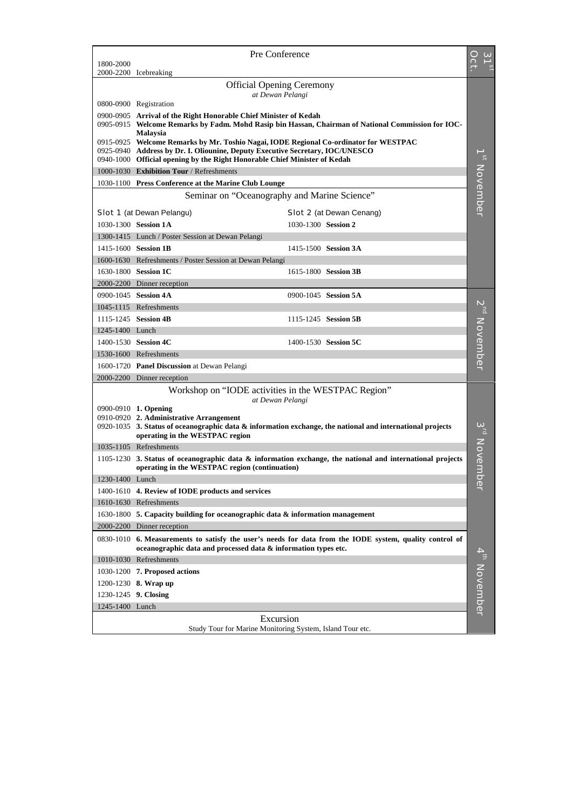|                 | Pre Conference                                                                                                                                                            |                          |
|-----------------|---------------------------------------------------------------------------------------------------------------------------------------------------------------------------|--------------------------|
| 1800-2000       |                                                                                                                                                                           |                          |
|                 | 2000-2200 Icebreaking                                                                                                                                                     |                          |
|                 | <b>Official Opening Ceremony</b>                                                                                                                                          |                          |
|                 | at Dewan Pelangi<br>0800-0900 Registration                                                                                                                                |                          |
|                 | 0900-0905 Arrival of the Right Honorable Chief Minister of Kedah                                                                                                          |                          |
|                 | 0905-0915 Welcome Remarks by Fadm. Mohd Rasip bin Hassan, Chairman of National Commission for IOC-                                                                        |                          |
|                 | <b>Malaysia</b><br>0915-0925 Welcome Remarks by Mr. Toshio Nagai, IODE Regional Co-ordinator for WESTPAC                                                                  |                          |
|                 | 0925-0940 Address by Dr. I. Oliounine, Deputy Executive Secretary, IOC/UNESCO                                                                                             |                          |
|                 | 0940-1000 Official opening by the Right Honorable Chief Minister of Kedah                                                                                                 |                          |
|                 | 1000-1030 Exhibition Tour / Refreshments                                                                                                                                  |                          |
|                 | 1030-1100 Press Conference at the Marine Club Lounge                                                                                                                      |                          |
|                 | Seminar on "Oceanography and Marine Science"                                                                                                                              |                          |
|                 | Slot 1 (at Dewan Pelangu)<br>Slot 2 (at Dewan Cenang)                                                                                                                     | 1 <sup>st</sup> November |
|                 | 1030-1300 Session 1A<br>1030-1300 Session 2                                                                                                                               |                          |
|                 | 1300-1415 Lunch / Poster Session at Dewan Pelangi                                                                                                                         |                          |
|                 | 1415-1600 Session 1B<br>1415-1500 Session 3A                                                                                                                              |                          |
|                 | 1600-1630 Refreshments / Poster Session at Dewan Pelangi                                                                                                                  |                          |
|                 | 1630-1800 Session 1C<br>1615-1800 Session 3B                                                                                                                              |                          |
|                 | 2000-2200 Dinner reception                                                                                                                                                |                          |
|                 | 0900-1045 Session 4A<br>0900-1045 Session 5A                                                                                                                              |                          |
|                 | 1045-1115 Refreshments                                                                                                                                                    |                          |
|                 | 1115-1245 Session 4B<br>1115-1245 Session 5B                                                                                                                              |                          |
| 1245-1400 Lunch |                                                                                                                                                                           |                          |
|                 | 1400-1530 Session 4C<br>1400-1530 Session 5C                                                                                                                              |                          |
|                 | 1530-1600 Refreshments                                                                                                                                                    |                          |
|                 | 1600-1720 Panel Discussion at Dewan Pelangi                                                                                                                               | $2^{\rm nd}$ November    |
|                 | 2000-2200 Dinner reception                                                                                                                                                |                          |
|                 | Workshop on "IODE activities in the WESTPAC Region"                                                                                                                       |                          |
|                 | at Dewan Pelangi<br>0900-0910 1. Opening                                                                                                                                  |                          |
|                 | 0910-0920 2. Administrative Arrangement                                                                                                                                   |                          |
|                 | $0920-1035$ 3. Status of oceanographic data & information exchange, the national and international projects                                                               |                          |
|                 | operating in the WESTPAC region                                                                                                                                           |                          |
|                 | 1035-1105 Refreshments                                                                                                                                                    |                          |
|                 | 1105-1230 3. Status of oceanographic data & information exchange, the national and international projects<br>operating in the WESTPAC region (continuation)               | $3^{rd}$ Novemb          |
| 1230-1400 Lunch |                                                                                                                                                                           |                          |
|                 | 1400-1610 4. Review of IODE products and services                                                                                                                         | $\Phi$                   |
|                 | 1610-1630 Refreshments                                                                                                                                                    |                          |
|                 | 1630-1800 5. Capacity building for oceanographic data $\&$ information management                                                                                         |                          |
|                 | 2000-2200 Dinner reception                                                                                                                                                |                          |
|                 | 0830-1010 6. Measurements to satisfy the user's needs for data from the IODE system, quality control of<br>oceanographic data and processed data & information types etc. |                          |
|                 | 1010-1030 Refreshments                                                                                                                                                    | 4 <sup>th</sup> November |
|                 | 1030-1200 7. Proposed actions                                                                                                                                             |                          |
|                 | 1200-1230 8. Wrap up                                                                                                                                                      |                          |
|                 | 1230-1245 9. Closing                                                                                                                                                      |                          |
| 1245-1400 Lunch |                                                                                                                                                                           |                          |
|                 | Excursion                                                                                                                                                                 |                          |
|                 | Study Tour for Marine Monitoring System, Island Tour etc.                                                                                                                 |                          |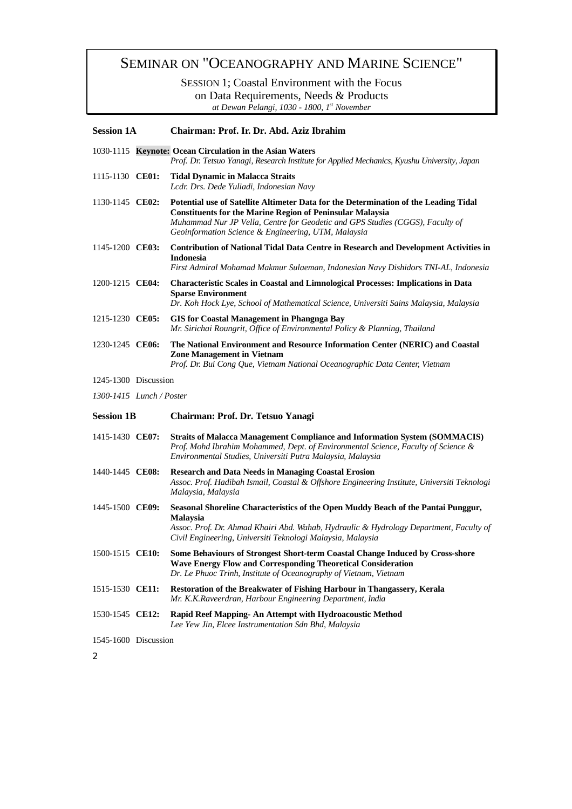# SEMINAR ON "OCEANOGRAPHY AND MARINE SCIENCE"

SESSION 1; Coastal Environment with the Focus on Data Requirements, Needs & Products

*at Dewan Pelangi, 1030 - 1800, 1st November*

| <b>Session 1A</b>            |  | Chairman: Prof. Ir. Dr. Abd. Aziz Ibrahim                                                                                                                                                                                                                                                        |  |  |  |  |
|------------------------------|--|--------------------------------------------------------------------------------------------------------------------------------------------------------------------------------------------------------------------------------------------------------------------------------------------------|--|--|--|--|
|                              |  | 1030-1115 Keynote: Ocean Circulation in the Asian Waters<br>Prof. Dr. Tetsuo Yanagi, Research Institute for Applied Mechanics, Kyushu University, Japan                                                                                                                                          |  |  |  |  |
| 1115-1130 CE01:              |  | <b>Tidal Dynamic in Malacca Straits</b><br>Lcdr. Drs. Dede Yuliadi, Indonesian Navy                                                                                                                                                                                                              |  |  |  |  |
| 1130-1145 CE02:              |  | Potential use of Satellite Altimeter Data for the Determination of the Leading Tidal<br><b>Constituents for the Marine Region of Peninsular Malaysia</b><br>Muhammad Nur JP Vella, Centre for Geodetic and GPS Studies (CGGS), Faculty of<br>Geoinformation Science & Engineering, UTM, Malaysia |  |  |  |  |
| 1145-1200 CE03:              |  | Contribution of National Tidal Data Centre in Research and Development Activities in<br><b>Indonesia</b><br>First Admiral Mohamad Makmur Sulaeman, Indonesian Navy Dishidors TNI-AL, Indonesia                                                                                                   |  |  |  |  |
| 1200-1215 CE04:              |  | <b>Characteristic Scales in Coastal and Limnological Processes: Implications in Data</b><br><b>Sparse Environment</b><br>Dr. Koh Hock Lye, School of Mathematical Science, Universiti Sains Malaysia, Malaysia                                                                                   |  |  |  |  |
| 1215-1230 CE05:              |  | <b>GIS</b> for Coastal Management in Phangnga Bay<br>Mr. Sirichai Roungrit, Office of Environmental Policy & Planning, Thailand                                                                                                                                                                  |  |  |  |  |
| 1230-1245 CE06:              |  | The National Environment and Resource Information Center (NERIC) and Coastal<br><b>Zone Management in Vietnam</b><br>Prof. Dr. Bui Cong Que, Vietnam National Oceanographic Data Center, Vietnam                                                                                                 |  |  |  |  |
| 1245-1300 Discussion         |  |                                                                                                                                                                                                                                                                                                  |  |  |  |  |
| $1300 - 1415$ Lunch / Poster |  |                                                                                                                                                                                                                                                                                                  |  |  |  |  |
| <b>Session 1B</b>            |  | Chairman: Prof. Dr. Tetsuo Yanagi                                                                                                                                                                                                                                                                |  |  |  |  |
| 1415-1430 CE07:              |  | <b>Straits of Malacca Management Compliance and Information System (SOMMACIS)</b><br>Prof. Mohd Ibrahim Mohammed, Dept. of Environmental Science, Faculty of Science &<br>Environmental Studies, Universiti Putra Malaysia, Malaysia                                                             |  |  |  |  |
| 1440-1445 CE08:              |  | <b>Research and Data Needs in Managing Coastal Erosion</b><br>Assoc. Prof. Hadibah Ismail, Coastal & Offshore Engineering Institute, Universiti Teknologi<br>Malaysia, Malaysia                                                                                                                  |  |  |  |  |
| 1445-1500 CE09:              |  | Seasonal Shoreline Characteristics of the Open Muddy Beach of the Pantai Punggur,<br><b>Malaysia</b><br>Assoc. Prof. Dr. Ahmad Khairi Abd. Wahab, Hydraulic & Hydrology Department, Faculty of<br>Civil Engineering, Universiti Teknologi Malaysia, Malaysia                                     |  |  |  |  |
| 1500-1515 CE10:              |  | Some Behaviours of Strongest Short-term Coastal Change Induced by Cross-shore<br><b>Wave Energy Flow and Corresponding Theoretical Consideration</b><br>Dr. Le Phuoc Trinh, Institute of Oceanography of Vietnam, Vietnam                                                                        |  |  |  |  |
| 1515-1530 CE11:              |  | Restoration of the Breakwater of Fishing Harbour in Thangassery, Kerala<br>Mr. K.K.Raveerdran, Harbour Engineering Department, India                                                                                                                                                             |  |  |  |  |
| 1530-1545 CE12:              |  | Rapid Reef Mapping- An Attempt with Hydroacoustic Method<br>Lee Yew Jin, Elcee Instrumentation Sdn Bhd, Malaysia                                                                                                                                                                                 |  |  |  |  |
| 1545-1600 Discussion         |  |                                                                                                                                                                                                                                                                                                  |  |  |  |  |

*2*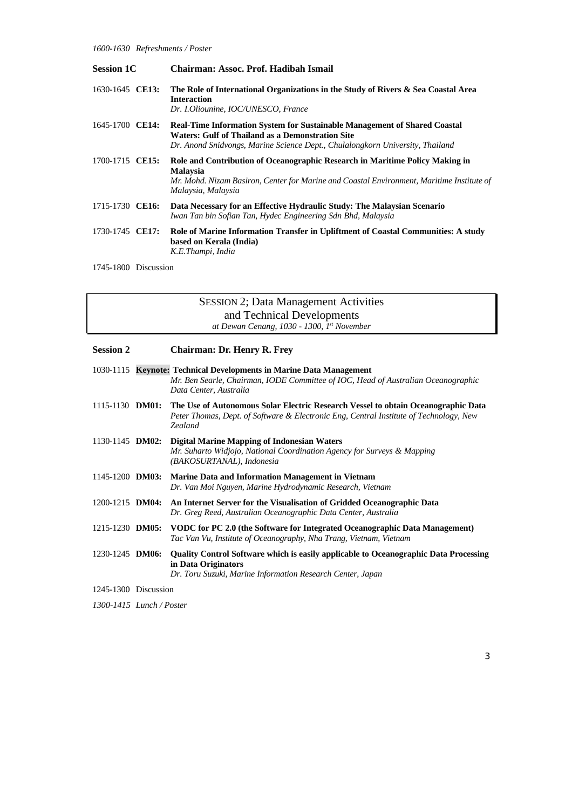| <b>Session 1C</b> |  | Chairman: Assoc. Prof. Hadibah Ismail                                                                                                                                                                                 |  |  |  |
|-------------------|--|-----------------------------------------------------------------------------------------------------------------------------------------------------------------------------------------------------------------------|--|--|--|
| 1630-1645 CE13:   |  | The Role of International Organizations in the Study of Rivers & Sea Coastal Area<br><b>Interaction</b><br>Dr. I.Oliounine, IOC/UNESCO, France                                                                        |  |  |  |
| 1645-1700 CE14:   |  | <b>Real-Time Information System for Sustainable Management of Shared Coastal</b><br>Waters: Gulf of Thailand as a Demonstration Site<br>Dr. Anond Snidvongs, Marine Science Dept., Chulalongkorn University, Thailand |  |  |  |
| 1700-1715 CE15:   |  | Role and Contribution of Oceanographic Research in Maritime Policy Making in<br><b>Malaysia</b><br>Mr. Mohd. Nizam Basiron, Center for Marine and Coastal Environment, Maritime Institute of<br>Malaysia, Malaysia    |  |  |  |
| 1715-1730 CE16:   |  | Data Necessary for an Effective Hydraulic Study: The Malaysian Scenario<br>Iwan Tan bin Sofian Tan, Hydec Engineering Sdn Bhd, Malaysia                                                                               |  |  |  |
| 1730-1745 CE17:   |  | Role of Marine Information Transfer in Upliftment of Coastal Communities: A study<br>based on Kerala (India)<br>K.E.Thampi, India                                                                                     |  |  |  |

1745-1800 Discussion

SESSION 2; Data Management Activities and Technical Developments *at Dewan Cenang, 1030 - 1300, 1st November*

| <b>Session 2</b>       | <b>Chairman: Dr. Henry R. Frey</b>                                                                                                                                                            |
|------------------------|-----------------------------------------------------------------------------------------------------------------------------------------------------------------------------------------------|
|                        | 1030-1115 Keynote: Technical Developments in Marine Data Management<br>Mr. Ben Searle, Chairman, IODE Committee of IOC, Head of Australian Oceanographic<br>Data Center, Australia            |
| 1115-1130 <b>DM01:</b> | The Use of Autonomous Solar Electric Research Vessel to obtain Oceanographic Data<br>Peter Thomas, Dept. of Software & Electronic Eng, Central Institute of Technology, New<br><b>Zealand</b> |
|                        | 1130-1145 DM02: Digital Marine Mapping of Indonesian Waters<br>Mr. Suharto Widjojo, National Coordination Agency for Surveys & Mapping<br>(BAKOSURTANAL), Indonesia                           |
| 1145-1200 <b>DM03:</b> | Marine Data and Information Management in Vietnam<br>Dr. Van Moi Nguyen, Marine Hydrodynamic Research, Vietnam                                                                                |
| $1200 - 1215$ DM04:    | An Internet Server for the Visualisation of Gridded Oceanographic Data<br>Dr. Greg Reed, Australian Oceanographic Data Center, Australia                                                      |
| 1215-1230 DM05:        | VODC for PC 2.0 (the Software for Integrated Oceanographic Data Management)<br>Tac Van Vu, Institute of Oceanography, Nha Trang, Vietnam, Vietnam                                             |
| 1230-1245 <b>DM06:</b> | <b>Quality Control Software which is easily applicable to Oceanographic Data Processing</b><br>in Data Originators<br>Dr. Toru Suzuki, Marine Information Research Center, Japan              |
| 1245-1300 Discussion   |                                                                                                                                                                                               |

*1300-1415 Lunch / Poster*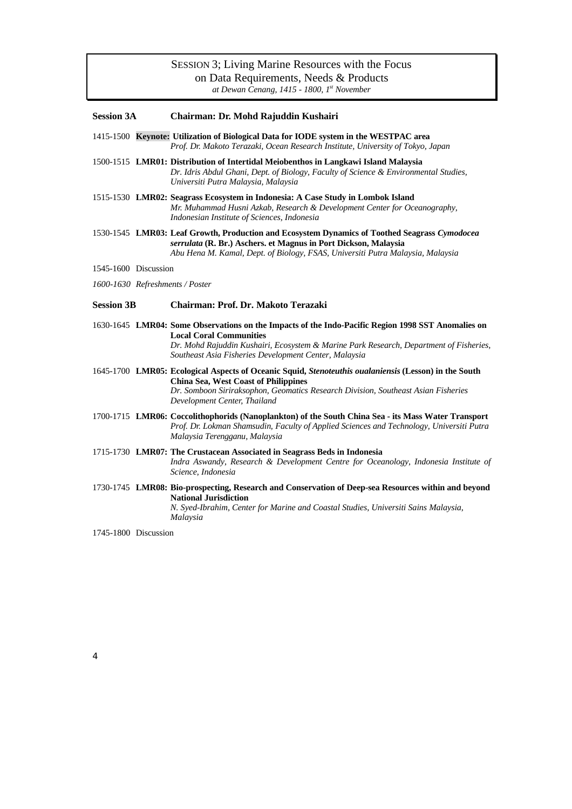### SESSION 3; Living Marine Resources with the Focus on Data Requirements, Needs & Products

*at Dewan Cenang, 1415 - 1800, 1st November*

#### **Session 3A Chairman: Dr. Mohd Rajuddin Kushairi**

- 1415-1500 **Keynote: Utilization of Biological Data for IODE system in the WESTPAC area** *Prof. Dr. Makoto Terazaki, Ocean Research Institute, University of Tokyo, Japan*
- 1500-1515 **LMR01: Distribution of Intertidal Meiobenthos in Langkawi Island Malaysia** *Dr. Idris Abdul Ghani, Dept. of Biology, Faculty of Science & Environmental Studies, Universiti Putra Malaysia, Malaysia*
- 1515-1530 **LMR02: Seagrass Ecosystem in Indonesia: A Case Study in Lombok Island** *Mr. Muhammad Husni Azkab, Research & Development Center for Oceanography, Indonesian Institute of Sciences, Indonesia*
- 1530-1545 **LMR03: Leaf Growth, Production and Ecosystem Dynamics of Toothed Seagrass** *Cymodocea serrulata* **(R. Br.) Aschers. et Magnus in Port Dickson, Malaysia** *Abu Hena M. Kamal, Dept. of Biology, FSAS, Universiti Putra Malaysia, Malaysia*

1545-1600 Discussion

#### *1600-1630 Refreshments / Poster*

#### **Session 3B Chairman: Prof. Dr. Makoto Terazaki**

- 1630-1645 **LMR04: Some Observations on the Impacts of the Indo-Pacific Region 1998 SST Anomalies on Local Coral Communities** *Dr. Mohd Rajuddin Kushairi, Ecosystem & Marine Park Research, Department of Fisheries, Southeast Asia Fisheries Development Center, Malaysia*
- 1645-1700 **LMR05: Ecological Aspects of Oceanic Squid,** *Stenoteuthis oualaniensis* **(Lesson) in the South China Sea, West Coast of Philippines** *Dr. Somboon Siriraksophon, Geomatics Research Division, Southeast Asian Fisheries Development Center, Thailand*
- 1700-1715 **LMR06: Coccolithophorids (Nanoplankton) of the South China Sea its Mass Water Transport** *Prof. Dr. Lokman Shamsudin, Faculty of Applied Sciences and Technology, Universiti Putra Malaysia Terengganu, Malaysia*
- 1715-1730 **LMR07: The Crustacean Associated in Seagrass Beds in Indonesia** *Indra Aswandy, Research & Development Centre for Oceanology, Indonesia Institute of Science, Indonesia*
- 1730-1745 **LMR08: Bio-prospecting, Research and Conservation of Deep-sea Resources within and beyond National Jurisdiction** *N. Syed-Ibrahim, Center for Marine and Coastal Studies, Universiti Sains Malaysia, Malaysia*

1745-1800 Discussion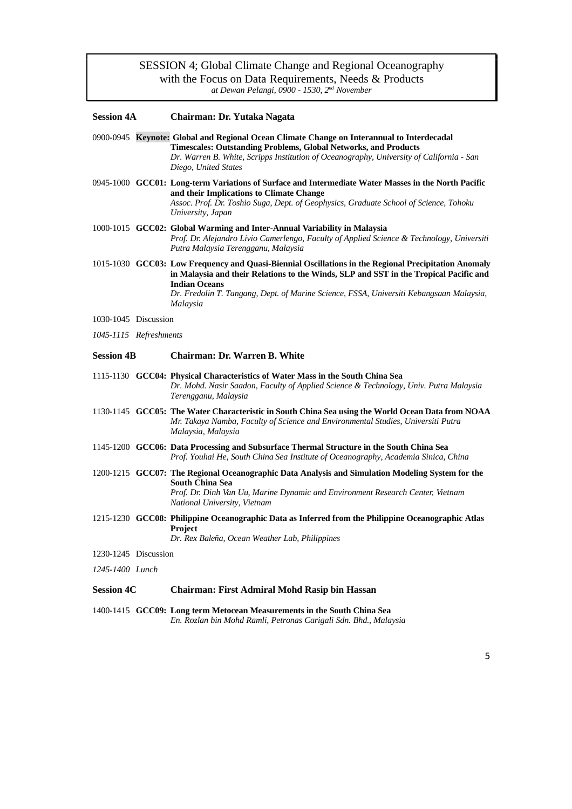### SESSION 4; Global Climate Change and Regional Oceanography with the Focus on Data Requirements, Needs & Products *at Dewan Pelangi, 0900 - 1530, 2nd November*

| <b>Session 4A</b>      |  | Chairman: Dr. Yutaka Nagata                                                                                                                                                                                                                                                                                                  |  |  |  |  |
|------------------------|--|------------------------------------------------------------------------------------------------------------------------------------------------------------------------------------------------------------------------------------------------------------------------------------------------------------------------------|--|--|--|--|
|                        |  | 0900-0945 Keynote: Global and Regional Ocean Climate Change on Interannual to Interdecadal<br><b>Timescales: Outstanding Problems, Global Networks, and Products</b><br>Dr. Warren B. White, Scripps Institution of Oceanography, University of California - San<br>Diego, United States                                     |  |  |  |  |
|                        |  | 0945-1000 GCC01: Long-term Variations of Surface and Intermediate Water Masses in the North Pacific<br>and their Implications to Climate Change<br>Assoc. Prof. Dr. Toshio Suga, Dept. of Geophysics, Graduate School of Science, Tohoku<br>University, Japan                                                                |  |  |  |  |
|                        |  | 1000-1015 GCC02: Global Warming and Inter-Annual Variability in Malaysia<br>Prof. Dr. Alejandro Livio Camerlengo, Faculty of Applied Science & Technology, Universiti<br>Putra Malaysia Terengganu, Malaysia                                                                                                                 |  |  |  |  |
|                        |  | 1015-1030 GCC03: Low Frequency and Quasi-Biennial Oscillations in the Regional Precipitation Anomaly<br>in Malaysia and their Relations to the Winds, SLP and SST in the Tropical Pacific and<br><b>Indian Oceans</b><br>Dr. Fredolin T. Tangang, Dept. of Marine Science, FSSA, Universiti Kebangsaan Malaysia,<br>Malaysia |  |  |  |  |
| 1030-1045 Discussion   |  |                                                                                                                                                                                                                                                                                                                              |  |  |  |  |
| 1045-1115 Refreshments |  |                                                                                                                                                                                                                                                                                                                              |  |  |  |  |
| <b>Session 4B</b>      |  | <b>Chairman: Dr. Warren B. White</b>                                                                                                                                                                                                                                                                                         |  |  |  |  |
|                        |  | 1115-1130 GCC04: Physical Characteristics of Water Mass in the South China Sea<br>Dr. Mohd. Nasir Saadon, Faculty of Applied Science & Technology, Univ. Putra Malaysia<br>Terengganu, Malaysia                                                                                                                              |  |  |  |  |
|                        |  | 1130-1145 GCC05: The Water Characteristic in South China Sea using the World Ocean Data from NOAA<br>Mr. Takaya Namba, Faculty of Science and Environmental Studies, Universiti Putra<br>Malaysia, Malaysia                                                                                                                  |  |  |  |  |
|                        |  | 1145-1200 GCC06: Data Processing and Subsurface Thermal Structure in the South China Sea<br>Prof. Youhai He, South China Sea Institute of Oceanography, Academia Sinica, China                                                                                                                                               |  |  |  |  |
|                        |  | 1200-1215 GCC07: The Regional Oceanographic Data Analysis and Simulation Modeling System for the<br>South China Sea<br>Prof. Dr. Dinh Van Uu, Marine Dynamic and Environment Research Center, Vietnam<br>National University, Vietnam                                                                                        |  |  |  |  |
|                        |  | 1215-1230 GCC08: Philippine Oceanographic Data as Inferred from the Philippine Oceanographic Atlas<br><b>Project</b><br>Dr. Rex Baleña, Ocean Weather Lab, Philippines                                                                                                                                                       |  |  |  |  |
| 1230-1245 Discussion   |  |                                                                                                                                                                                                                                                                                                                              |  |  |  |  |
| 1245-1400 Lunch        |  |                                                                                                                                                                                                                                                                                                                              |  |  |  |  |
| <b>Session 4C</b>      |  | <b>Chairman: First Admiral Mohd Rasip bin Hassan</b>                                                                                                                                                                                                                                                                         |  |  |  |  |
|                        |  | 1400-1415 GCC09: Long term Metocean Measurements in the South China Sea<br>En. Rozlan bin Mohd Ramli, Petronas Carigali Sdn. Bhd., Malaysia                                                                                                                                                                                  |  |  |  |  |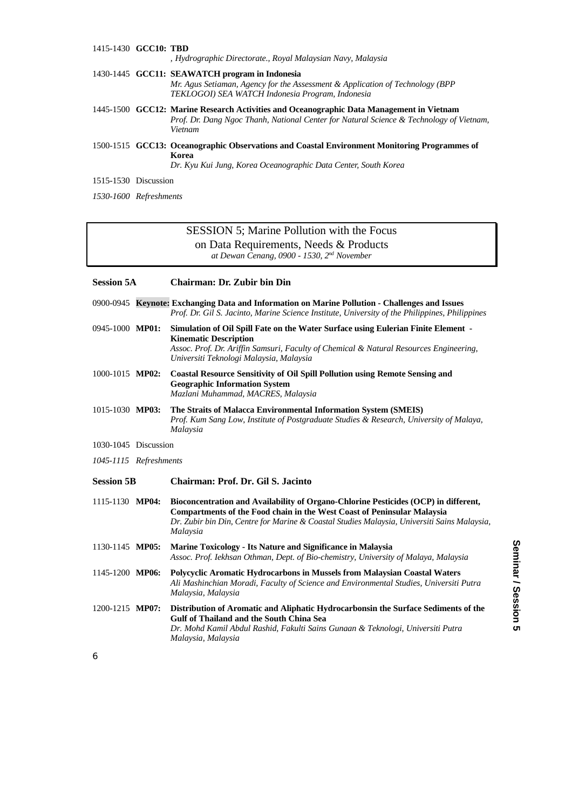#### 1415-1430 **GCC10: TBD** *, Hydrographic Directorate., Royal Malaysian Navy, Malaysia* 1430-1445 **GCC11: SEAWATCH program in Indonesia** *Mr. Agus Setiaman, Agency for the Assessment & Application of Technology (BPP TEKLOGOI) SEA WATCH Indonesia Program, Indonesia* 1445-1500 **GCC12: Marine Research Activities and Oceanographic Data Management in Vietnam** *Prof. Dr. Dang Ngoc Thanh, National Center for Natural Science & Technology of Vietnam, Vietnam* 1500-1515 **GCC13: Oceanographic Observations and Coastal Environment Monitoring Programmes of Korea**

*Dr. Kyu Kui Jung, Korea Oceanographic Data Center, South Korea*

1515-1530 Discussion

*1530-1600 Refreshments*

### SESSION 5; Marine Pollution with the Focus on Data Requirements, Needs & Products *at Dewan Cenang, 0900 - 1530, 2nd November*

#### **Session 5A Chairman: Dr. Zubir bin Din**

|  | 0900-0945 Keynote: Exchanging Data and Information on Marine Pollution - Challenges and Issues |  |  |  |  |
|--|------------------------------------------------------------------------------------------------|--|--|--|--|
|  | Prof. Dr. Gil S. Jacinto, Marine Science Institute, University of the Philippines, Philippines |  |  |  |  |

- 0945-1000 **MP01: Simulation of Oil Spill Fate on the Water Surface using Eulerian Finite Element - Kinematic Description** *Assoc. Prof. Dr. Ariffin Samsuri, Faculty of Chemical & Natural Resources Engineering, Universiti Teknologi Malaysia, Malaysia*
- 1000-1015 **MP02: Coastal Resource Sensitivity of Oil Spill Pollution using Remote Sensing and Geographic Information System** *Mazlani Muhammad, MACRES, Malaysia*
- 1015-1030 **MP03: The Straits of Malacca Environmental Information System (SMEIS)** *Prof. Kum Sang Low, Institute of Postgraduate Studies & Research, University of Malaya, Malaysia*
- 1030-1045 Discussion
- *1045-1115 Refreshments*
- **Session 5B Chairman: Prof. Dr. Gil S. Jacinto**
- 1115-1130 **MP04: Bioconcentration and Availability of Organo-Chlorine Pesticides (OCP) in different, Compartments of the Food chain in the West Coast of Peninsular Malaysia** *Dr. Zubir bin Din, Centre for Marine & Coastal Studies Malaysia, Universiti Sains Malaysia, Malaysia*
- 1130-1145 **MP05: Marine Toxicology Its Nature and Significance in Malaysia** *Assoc. Prof. Iekhsan Othman, Dept. of Bio-chemistry, University of Malaya, Malaysia*
- 1145-1200 **MP06: Polycyclic Aromatic Hydrocarbons in Mussels from Malaysian Coastal Waters** *Ali Mashinchian Moradi, Faculty of Science and Environmental Studies, Universiti Putra Malaysia, Malaysia*
- 1200-1215 **MP07: Distribution of Aromatic and Aliphatic Hydrocarbonsin the Surface Sediments of the Gulf of Thailand and the South China Sea** *Dr. Mohd Kamil Abdul Rashid, Fakulti Sains Gunaan & Teknologi, Universiti Putra Malaysia, Malaysia*

Seminar / Session 5 **Seminar / Session 5**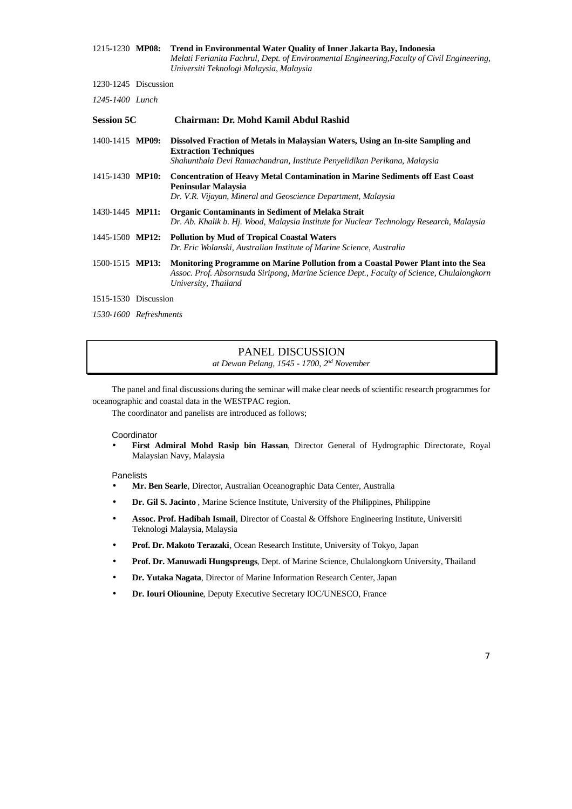| 1215-1230 MP08: | Trend in Environmental Water Quality of Inner Jakarta Bay, Indonesia                        |
|-----------------|---------------------------------------------------------------------------------------------|
|                 | Melati Ferianita Fachrul, Dept. of Environmental Engineering, Faculty of Civil Engineering, |
|                 | Universiti Teknologi Malaysia, Malaysia                                                     |

1230-1245 Discussion

*1245-1400 Lunch*

| <b>Session 5C</b>      |  | Chairman: Dr. Mohd Kamil Abdul Rashid                                                                                                                                                                 |  |  |  |
|------------------------|--|-------------------------------------------------------------------------------------------------------------------------------------------------------------------------------------------------------|--|--|--|
| 1400-1415 MP09:        |  | Dissolved Fraction of Metals in Malaysian Waters, Using an In-site Sampling and<br><b>Extraction Techniques</b><br>Shahunthala Devi Ramachandran, Institute Penyelidikan Perikana, Malaysia           |  |  |  |
| 1415-1430 <b>MP10:</b> |  | <b>Concentration of Heavy Metal Contamination in Marine Sediments off East Coast</b><br>Peninsular Malaysia<br>Dr. V.R. Vijayan, Mineral and Geoscience Department, Malaysia                          |  |  |  |
| 1430-1445 <b>MP11:</b> |  | <b>Organic Contaminants in Sediment of Melaka Strait</b><br>Dr. Ab. Khalik b. Hj. Wood, Malaysia Institute for Nuclear Technology Research, Malaysia                                                  |  |  |  |
| 1445-1500 <b>MP12:</b> |  | <b>Pollution by Mud of Tropical Coastal Waters</b><br>Dr. Eric Wolanski, Australian Institute of Marine Science, Australia                                                                            |  |  |  |
| 1500-1515 MP13:        |  | Monitoring Programme on Marine Pollution from a Coastal Power Plant into the Sea<br>Assoc. Prof. Absornsuda Siripong, Marine Science Dept., Faculty of Science, Chulalongkorn<br>University, Thailand |  |  |  |
| 1515-1530 Discussion   |  |                                                                                                                                                                                                       |  |  |  |
| 1530-1600 Refreshments |  |                                                                                                                                                                                                       |  |  |  |

### PANEL DISCUSSION *at Dewan Pelang, 1545 - 1700, 2nd November*

The panel and final discussions during the seminar will make clear needs of scientific research programmes for oceanographic and coastal data in the WESTPAC region.

The coordinator and panelists are introduced as follows;

Coordinator

• **First Admiral Mohd Rasip bin Hassan**, Director General of Hydrographic Directorate, Royal Malaysian Navy, Malaysia

Panelists

- **Mr. Ben Searle**, Director, Australian Oceanographic Data Center, Australia
- **Dr. Gil S. Jacinto** , Marine Science Institute, University of the Philippines, Philippine
- **Assoc. Prof. Hadibah Ismail**, Director of Coastal & Offshore Engineering Institute, Universiti Teknologi Malaysia, Malaysia
- **Prof. Dr. Makoto Terazaki**, Ocean Research Institute, University of Tokyo, Japan
- **Prof. Dr. Manuwadi Hungspreugs**, Dept. of Marine Science, Chulalongkorn University, Thailand
- **Dr. Yutaka Nagata**, Director of Marine Information Research Center, Japan
- **Dr. Iouri Oliounine**, Deputy Executive Secretary IOC/UNESCO, France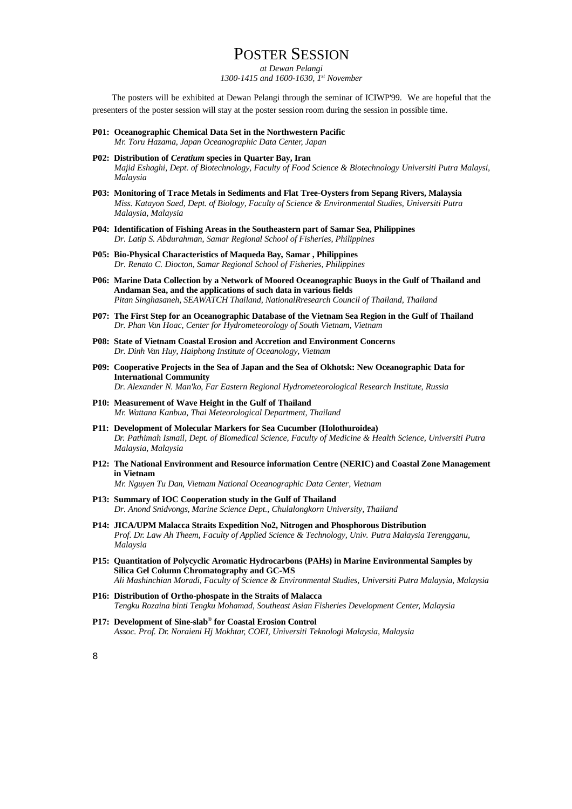# POSTER SESSION

*at Dewan Pelangi 1300-1415 and 1600-1630, 1st November*

The posters will be exhibited at Dewan Pelangi through the seminar of ICIWP'99. We are hopeful that the presenters of the poster session will stay at the poster session room during the session in possible time.

- **P01: Oceanographic Chemical Data Set in the Northwestern Pacific** *Mr. Toru Hazama, Japan Oceanographic Data Center, Japan*
- **P02: Distribution of** *Ceratium* **species in Quarter Bay, Iran** *Majid Eshaghi, Dept. of Biotechnology, Faculty of Food Science & Biotechnology Universiti Putra Malaysi, Malaysia*
- **P03: Monitoring of Trace Metals in Sediments and Flat Tree-Oysters from Sepang Rivers, Malaysia** *Miss. Katayon Saed, Dept. of Biology, Faculty of Science & Environmental Studies, Universiti Putra Malaysia, Malaysia*
- **P04: Identification of Fishing Areas in the Southeastern part of Samar Sea, Philippines** *Dr. Latip S. Abdurahman, Samar Regional School of Fisheries, Philippines*
- **P05: Bio-Physical Characteristics of Maqueda Bay, Samar , Philippines** *Dr. Renato C. Diocton, Samar Regional School of Fisheries, Philippines*
- **P06: Marine Data Collection by a Network of Moored Oceanographic Buoys in the Gulf of Thailand and Andaman Sea, and the applications of such data in various fields** *Pitan Singhasaneh, SEAWATCH Thailand, NationalRresearch Council of Thailand, Thailand*
- **P07: The First Step for an Oceanographic Database of the Vietnam Sea Region in the Gulf of Thailand** *Dr. Phan Van Hoac, Center for Hydrometeorology of South Vietnam, Vietnam*
- **P08: State of Vietnam Coastal Erosion and Accretion and Environment Concerns** *Dr. Dinh Van Huy, Haiphong Institute of Oceanology, Vietnam*
- **P09: Cooperative Projects in the Sea of Japan and the Sea of Okhotsk: New Oceanographic Data for International Community** *Dr. Alexander N. Man'ko, Far Eastern Regional Hydrometeorological Research Institute, Russia*
- **P10: Measurement of Wave Height in the Gulf of Thailand** *Mr. Wattana Kanbua, Thai Meteorological Department, Thailand*
- **P11: Development of Molecular Markers for Sea Cucumber (Holothuroidea)** *Dr. Pathimah Ismail, Dept. of Biomedical Science, Faculty of Medicine & Health Science, Universiti Putra Malaysia, Malaysia*
- **P12: The National Environment and Resource information Centre (NERIC) and Coastal Zone Management in Vietnam**

*Mr. Nguyen Tu Dan, Vietnam National Oceanographic Data Center, Vietnam*

- **P13: Summary of IOC Cooperation study in the Gulf of Thailand** *Dr. Anond Snidvongs, Marine Science Dept., Chulalongkorn University, Thailand*
- **P14: JICA/UPM Malacca Straits Expedition No2, Nitrogen and Phosphorous Distribution** *Prof. Dr. Law Ah Theem, Faculty of Applied Science & Technology, Univ. Putra Malaysia Terengganu, Malaysia*
- **P15: Quantitation of Polycyclic Aromatic Hydrocarbons (PAHs) in Marine Environmental Samples by Silica Gel Column Chromatography and GC-MS** *Ali Mashinchian Moradi, Faculty of Science & Environmental Studies, Universiti Putra Malaysia, Malaysia*
- **P16: Distribution of Ortho-phospate in the Straits of Malacca** *Tengku Rozaina binti Tengku Mohamad, Southeast Asian Fisheries Development Center, Malaysia*
- **P17: Development of Sine-slab® for Coastal Erosion Control** *Assoc. Prof. Dr. Noraieni Hj Mokhtar, COEI, Universiti Teknologi Malaysia, Malaysia*

*8*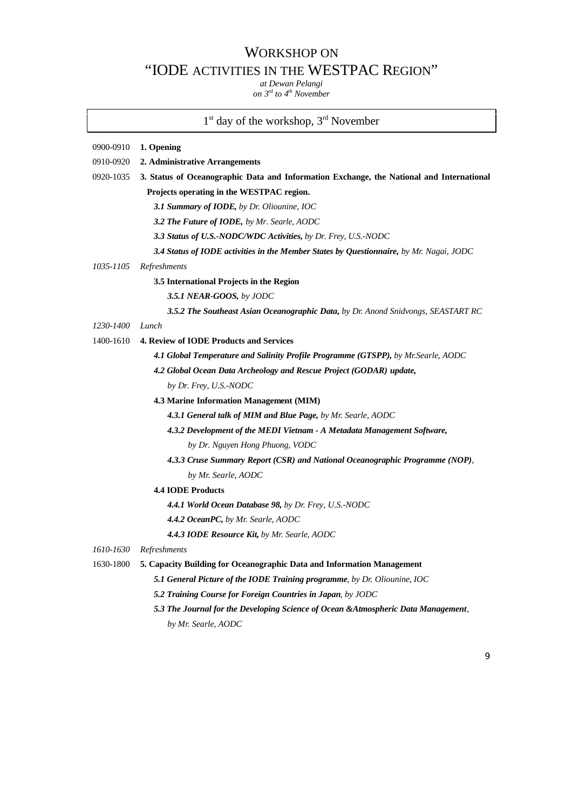# WORKSHOP ON "IODE ACTIVITIES IN THE WESTPAC REGION"

*at Dewan Pelangi on 3rd to 4th November*

## 1<sup>st</sup> day of the workshop, 3<sup>rd</sup> November

# 0900-0910 **1. Opening** 0910-0920 **2. Administrative Arrangements** 0920-1035 **3. Status of Oceanographic Data and Information Exchange, the National and International Projects operating in the WESTPAC region.** *3.1 Summary of IODE, by Dr. Oliounine, IOC 3.2 The Future of IODE, by Mr. Searle, AODC 3.3 Status of U.S.-NODC/WDC Activities, by Dr. Frey, U.S.-NODC 3.4 Status of IODE activities in the Member States by Questionnaire, by Mr. Nagai, JODC 1035-1105 Refreshments* **3.5 International Projects in the Region** *3.5.1 NEAR-GOOS, by JODC 3.5.2 The Southeast Asian Oceanographic Data, by Dr. Anond Snidvongs, SEASTART RC 1230-1400 Lunch* 1400-1610 **4. Review of IODE Products and Services** *4.1 Global Temperature and Salinity Profile Programme (GTSPP), by Mr.Searle, AODC 4.2 Global Ocean Data Archeology and Rescue Project (GODAR) update, by Dr. Frey, U.S.-NODC* **4.3 Marine Information Management (MIM)** *4.3.1 General talk of MIM and Blue Page, by Mr. Searle, AODC 4.3.2 Development of the MEDI Vietnam - A Metadata Management Software, by Dr. Nguyen Hong Phuong, VODC 4.3.3 Cruse Summary Report (CSR) and National Oceanographic Programme (NOP), by Mr. Searle, AODC* **4.4 IODE Products**  *4.4.1 World Ocean Database 98, by Dr. Frey, U.S.-NODC 4.4.2 OceanPC, by Mr. Searle, AODC 4.4.3 IODE Resource Kit, by Mr. Searle, AODC 1610-1630 Refreshments* 1630-1800 **5. Capacity Building for Oceanographic Data and Information Management**

*5.1 General Picture of the IODE Training programme, by Dr. Oliounine, IOC*

- *5.2 Training Course for Foreign Countries in Japan, by JODC*
- *5.3 The Journal for the Developing Science of Ocean &Atmospheric Data Management, by Mr. Searle, AODC*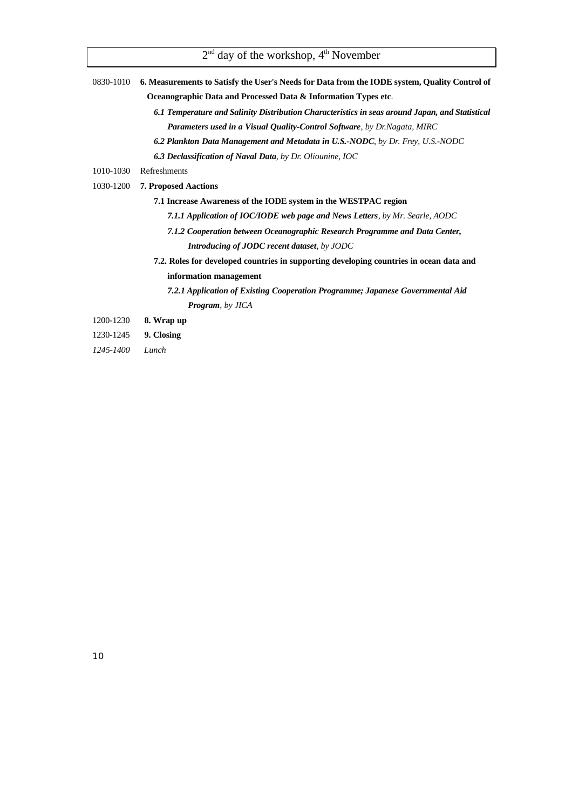| 0830-1010 6. Measurements to Satisfy the User's Needs for Data from the IODE system, Quality Control of |
|---------------------------------------------------------------------------------------------------------|

 $2<sup>nd</sup>$  day of the workshop,  $4<sup>th</sup>$  November

**Oceanographic Data and Processed Data & Information Types etc**.

- *6.1 Temperature and Salinity Distribution Characteristics in seas around Japan, and Statistical Parameters used in a Visual Quality-Control Software, by Dr.Nagata, MIRC*
- *6.2 Plankton Data Management and Metadata in U.S.-NODC, by Dr. Frey, U.S.-NODC*
- *6.3 Declassification of Naval Data, by Dr. Oliounine, IOC*
- 1010-1030 Refreshments
- 1030-1200 **7. Proposed Aactions**
	- **7.1 Increase Awareness of the IODE system in the WESTPAC region**
		- *7.1.1 Application of IOC/IODE web page and News Letters, by Mr. Searle, AODC*
		- *7.1.2 Cooperation between Oceanographic Research Programme and Data Center, Introducing of JODC recent dataset, by JODC*
	- **7.2. Roles for developed countries in supporting developing countries in ocean data and information management**
		- *7.2.1 Application of Existing Cooperation Programme; Japanese Governmental Aid Program, by JICA*
- 1200-1230 **8. Wrap up**
- 1230-1245 **9. Closing**
- *1245-1400 Lunch*